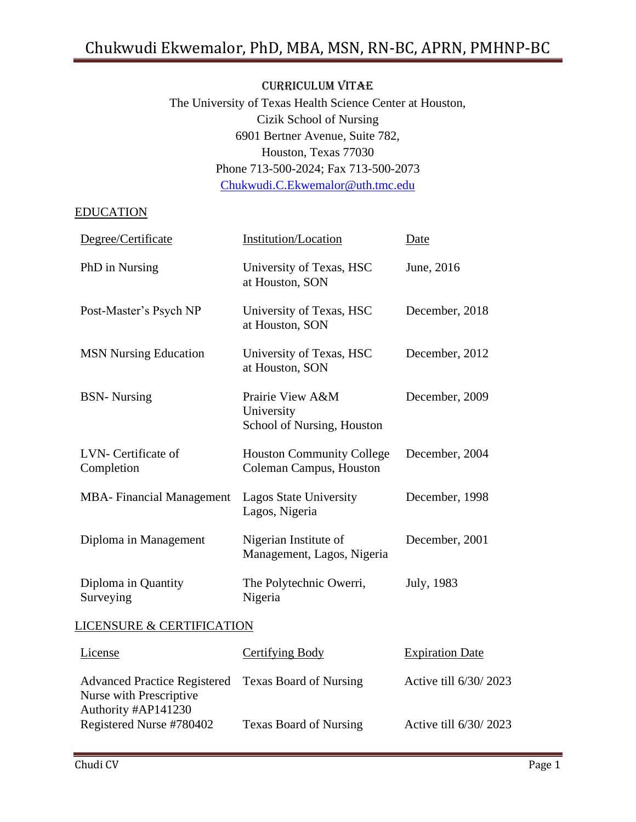#### CURRICULUM VITAE

The University of Texas Health Science Center at Houston, Cizik School of Nursing 6901 Bertner Avenue, Suite 782, Houston, Texas 77030 Phone 713-500-2024; Fax 713-500-2073 [Chukwudi.C.Ekwemalor@uth.tmc.edu](mailto:Chukwudi.C.Ekwemalor@uth.tmc.edu)

#### EDUCATION

| Degree/Certificate                   | Institution/Location                                         | <b>Date</b>            |  |  |
|--------------------------------------|--------------------------------------------------------------|------------------------|--|--|
| PhD in Nursing                       | University of Texas, HSC<br>at Houston, SON                  | June, 2016             |  |  |
| Post-Master's Psych NP               | University of Texas, HSC<br>at Houston, SON                  | December, 2018         |  |  |
| <b>MSN Nursing Education</b>         | University of Texas, HSC<br>at Houston, SON                  | December, 2012         |  |  |
| <b>BSN-</b> Nursing                  | Prairie View A&M<br>University<br>School of Nursing, Houston | December, 2009         |  |  |
| LVN- Certificate of<br>Completion    | <b>Houston Community College</b><br>Coleman Campus, Houston  | December, 2004         |  |  |
| <b>MBA-</b> Financial Management     | <b>Lagos State University</b><br>Lagos, Nigeria              | December, 1998         |  |  |
| Diploma in Management                | Nigerian Institute of<br>Management, Lagos, Nigeria          | December, 2001         |  |  |
| Diploma in Quantity<br>Surveying     | The Polytechnic Owerri,<br>Nigeria                           | July, 1983             |  |  |
| <b>LICENSURE &amp; CERTIFICATION</b> |                                                              |                        |  |  |
| License                              | Certifying Body                                              | <b>Expiration Date</b> |  |  |
| <b>Advanced Practice Registered</b>  | <b>Texas Board of Nursing</b>                                | Active till 6/30/2023  |  |  |

Texas Board of Nursing Active till 6/30/ 2023

Nurse with Prescriptive Authority #AP141230 Registered Nurse #780402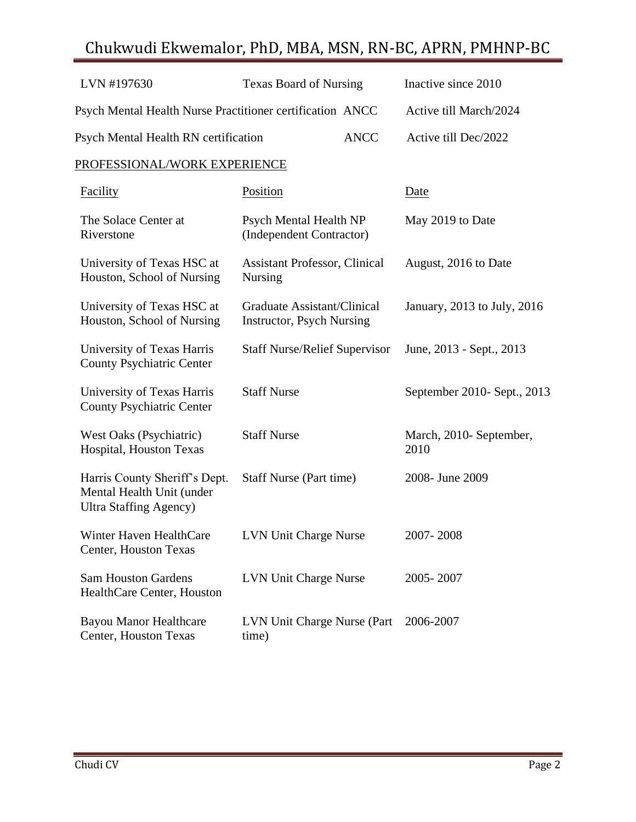| LVN #197630                                                                                  | <b>Texas Board of Nursing</b>                                    |             | Inactive since 2010             |  |  |
|----------------------------------------------------------------------------------------------|------------------------------------------------------------------|-------------|---------------------------------|--|--|
| Psych Mental Health Nurse Practitioner certification ANCC                                    |                                                                  |             | Active till March/2024          |  |  |
| Psych Mental Health RN certification                                                         |                                                                  | <b>ANCC</b> | Active till Dec/2022            |  |  |
| PROFESSIONAL/WORK EXPERIENCE                                                                 |                                                                  |             |                                 |  |  |
| <b>Facility</b>                                                                              | <b>Position</b>                                                  |             | Date                            |  |  |
| The Solace Center at<br>Riverstone                                                           | Psych Mental Health NP<br>(Independent Contractor)               |             | May 2019 to Date                |  |  |
| University of Texas HSC at<br>Houston, School of Nursing                                     | <b>Assistant Professor, Clinical</b><br><b>Nursing</b>           |             | August, 2016 to Date            |  |  |
| University of Texas HSC at<br>Houston, School of Nursing                                     | Graduate Assistant/Clinical<br><b>Instructor</b> , Psych Nursing |             | January, 2013 to July, 2016     |  |  |
| University of Texas Harris<br><b>County Psychiatric Center</b>                               | <b>Staff Nurse/Relief Supervisor</b>                             |             | June, 2013 - Sept., 2013        |  |  |
| University of Texas Harris<br><b>County Psychiatric Center</b>                               | <b>Staff Nurse</b>                                               |             | September 2010- Sept., 2013     |  |  |
| West Oaks (Psychiatric)<br>Hospital, Houston Texas                                           | <b>Staff Nurse</b>                                               |             | March, 2010- September,<br>2010 |  |  |
| Harris County Sheriff's Dept.<br>Mental Health Unit (under<br><b>Ultra Staffing Agency</b> ) | <b>Staff Nurse (Part time)</b>                                   |             | 2008- June 2009                 |  |  |
| Winter Haven HealthCare<br>Center, Houston Texas                                             | <b>LVN Unit Charge Nurse</b>                                     |             | 2007-2008                       |  |  |
| <b>Sam Houston Gardens</b><br>HealthCare Center, Houston                                     | LVN Unit Charge Nurse                                            |             | 2005-2007                       |  |  |
| <b>Bayou Manor Healthcare</b><br>Center, Houston Texas                                       | LVN Unit Charge Nurse (Part<br>time)                             |             | 2006-2007                       |  |  |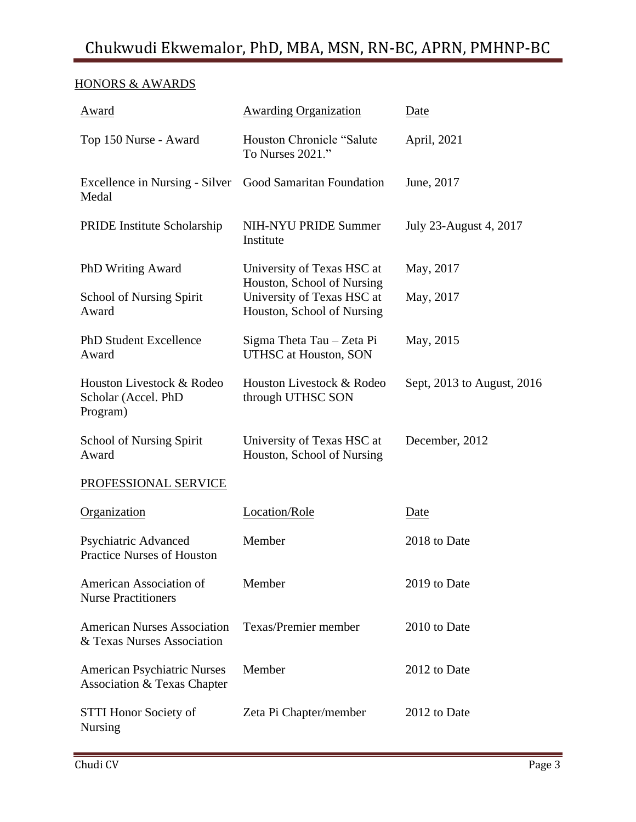### HONORS & AWARDS

| Award                                                             | <b>Awarding Organization</b>                                                           | Date                       |
|-------------------------------------------------------------------|----------------------------------------------------------------------------------------|----------------------------|
| Top 150 Nurse - Award                                             | Houston Chronicle "Salute"<br>To Nurses 2021."                                         | April, 2021                |
| Excellence in Nursing - Silver Good Samaritan Foundation<br>Medal |                                                                                        | June, 2017                 |
| PRIDE Institute Scholarship                                       | <b>NIH-NYU PRIDE Summer</b><br>Institute                                               | July 23-August 4, 2017     |
| PhD Writing Award                                                 | University of Texas HSC at                                                             | May, 2017                  |
| School of Nursing Spirit<br>Award                                 | Houston, School of Nursing<br>University of Texas HSC at<br>Houston, School of Nursing | May, 2017                  |
| PhD Student Excellence<br>Award                                   | Sigma Theta Tau - Zeta Pi<br>UTHSC at Houston, SON                                     | May, 2015                  |
| Houston Livestock & Rodeo<br>Scholar (Accel. PhD<br>Program)      | Houston Livestock & Rodeo<br>through UTHSC SON                                         | Sept, 2013 to August, 2016 |
| <b>School of Nursing Spirit</b><br>Award                          | University of Texas HSC at<br>Houston, School of Nursing                               | December, 2012             |
| PROFESSIONAL SERVICE                                              |                                                                                        |                            |
| Organization                                                      | Location/Role                                                                          | Date                       |
| Psychiatric Advanced<br><b>Practice Nurses of Houston</b>         | Member                                                                                 | 2018 to Date               |
| American Association of<br><b>Nurse Practitioners</b>             | Member                                                                                 | 2019 to Date               |
| <b>American Nurses Association</b><br>& Texas Nurses Association  | Texas/Premier member                                                                   | 2010 to Date               |
| <b>American Psychiatric Nurses</b><br>Association & Texas Chapter | Member                                                                                 | 2012 to Date               |
| STTI Honor Society of<br><b>Nursing</b>                           | Zeta Pi Chapter/member                                                                 | 2012 to Date               |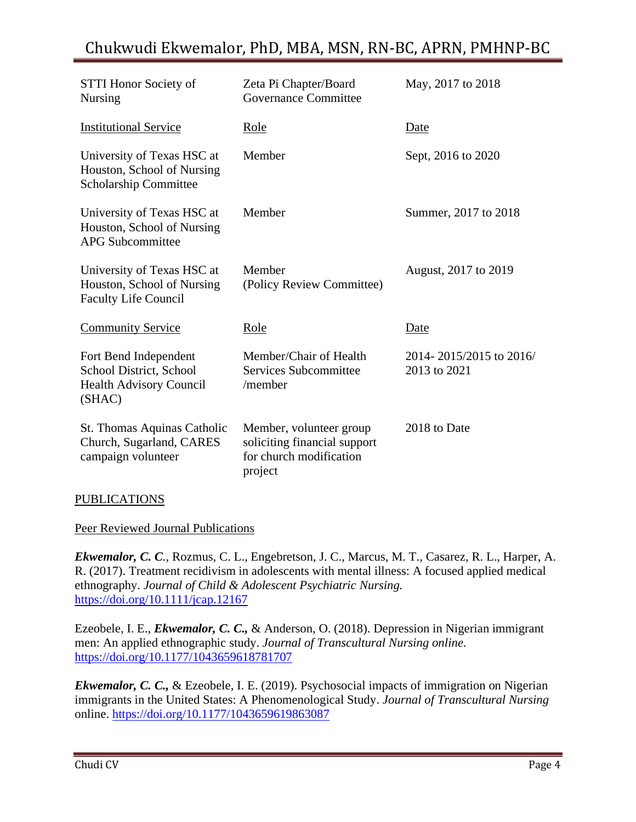| <b>STTI Honor Society of</b><br>Nursing                                                 | Zeta Pi Chapter/Board<br><b>Governance Committee</b>                                          | May, 2017 to 2018                       |
|-----------------------------------------------------------------------------------------|-----------------------------------------------------------------------------------------------|-----------------------------------------|
| <b>Institutional Service</b>                                                            | Role                                                                                          | Date                                    |
| University of Texas HSC at<br>Houston, School of Nursing<br>Scholarship Committee       | Member                                                                                        | Sept, 2016 to 2020                      |
| University of Texas HSC at<br>Houston, School of Nursing<br><b>APG Subcommittee</b>     | Member                                                                                        | Summer, 2017 to 2018                    |
| University of Texas HSC at<br>Houston, School of Nursing<br><b>Faculty Life Council</b> | Member<br>(Policy Review Committee)                                                           | August, 2017 to 2019                    |
| <b>Community Service</b>                                                                | Role                                                                                          | Date                                    |
| Fort Bend Independent<br>School District, School<br>Health Advisory Council<br>(SHAC)   | Member/Chair of Health<br>Services Subcommittee<br>/member                                    | 2014-2015/2015 to 2016/<br>2013 to 2021 |
| St. Thomas Aquinas Catholic<br>Church, Sugarland, CARES<br>campaign volunteer           | Member, volunteer group<br>soliciting financial support<br>for church modification<br>project | 2018 to Date                            |

#### PUBLICATIONS

#### Peer Reviewed Journal Publications

*Ekwemalor, C. C.,* Rozmus, C. L., Engebretson, J. C., Marcus, M. T., Casarez, R. L., Harper, A. R. (2017). Treatment recidivism in adolescents with mental illness: A focused applied medical ethnography. *Journal of Child & Adolescent Psychiatric Nursing.* <https://doi.org/10.1111/jcap.12167>

Ezeobele, I. E., *Ekwemalor, C. C.,* & Anderson, O. (2018). Depression in Nigerian immigrant men: An applied ethnographic study. *Journal of Transcultural Nursing online.*  <https://doi.org/10.1177/1043659618781707>

*Ekwemalor, C. C.,* & Ezeobele, I. E. (2019). Psychosocial impacts of immigration on Nigerian immigrants in the United States: A Phenomenological Study. *Journal of Transcultural Nursing* online. <https://doi.org/10.1177/1043659619863087>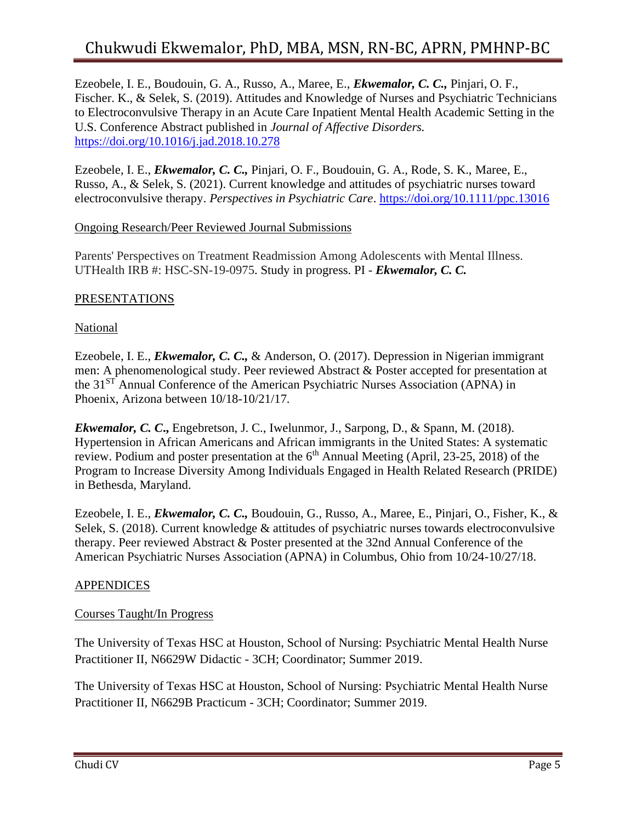Ezeobele, I. E., Boudouin, G. A., Russo, A., Maree, E., *Ekwemalor, C. C.,* Pinjari, O. F., Fischer. K., & Selek, S. (2019). Attitudes and Knowledge of Nurses and Psychiatric Technicians to Electroconvulsive Therapy in an Acute Care Inpatient Mental Health Academic Setting in the U.S. Conference Abstract published in *Journal of Affective Disorders.* <https://doi.org/10.1016/j.jad.2018.10.278>

Ezeobele, I. E., *Ekwemalor, C. C.,* Pinjari, O. F., Boudouin, G. A., Rode, S. K., Maree, E., Russo, A., & Selek, S. (2021). Current knowledge and attitudes of psychiatric nurses toward electroconvulsive therapy. *Perspectives in Psychiatric Care*.<https://doi.org/10.1111/ppc.13016>

#### Ongoing Research/Peer Reviewed Journal Submissions

Parents' Perspectives on Treatment Readmission Among Adolescents with Mental Illness. UTHealth IRB #: HSC-SN-19-0975. Study in progress. PI - *Ekwemalor, C. C.*

#### PRESENTATIONS

National

Ezeobele, I. E., *Ekwemalor, C. C.,* & Anderson, O. (2017). Depression in Nigerian immigrant men: A phenomenological study. Peer reviewed Abstract & Poster accepted for presentation at the 31ST Annual Conference of the American Psychiatric Nurses Association (APNA) in Phoenix, Arizona between 10/18-10/21/17.

*Ekwemalor, C. C***.,** Engebretson, J. C., Iwelunmor, J., Sarpong, D., & Spann, M. (2018). Hypertension in African Americans and African immigrants in the United States: A systematic review. Podium and poster presentation at the  $6<sup>th</sup>$  Annual Meeting (April, 23-25, 2018) of the Program to Increase Diversity Among Individuals Engaged in Health Related Research (PRIDE) in Bethesda, Maryland.

Ezeobele, I. E., *Ekwemalor, C. C.,* Boudouin, G., Russo, A., Maree, E., Pinjari, O., Fisher, K., & Selek, S. (2018). Current knowledge & attitudes of psychiatric nurses towards electroconvulsive therapy. Peer reviewed Abstract & Poster presented at the 32nd Annual Conference of the American Psychiatric Nurses Association (APNA) in Columbus, Ohio from 10/24-10/27/18.

#### APPENDICES

#### Courses Taught/In Progress

The University of Texas HSC at Houston, School of Nursing: Psychiatric Mental Health Nurse Practitioner II, N6629W Didactic - 3CH; Coordinator; Summer 2019.

The University of Texas HSC at Houston, School of Nursing: Psychiatric Mental Health Nurse Practitioner II, N6629B Practicum - 3CH; Coordinator; Summer 2019.